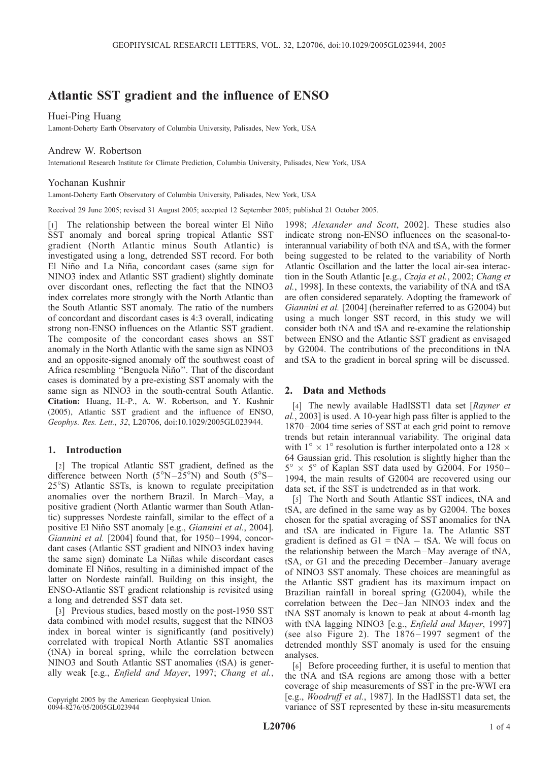# Atlantic SST gradient and the influence of ENSO

Huei-Ping Huang

Lamont-Doherty Earth Observatory of Columbia University, Palisades, New York, USA

# Andrew W. Robertson

International Research Institute for Climate Prediction, Columbia University, Palisades, New York, USA

## Yochanan Kushnir

Lamont-Doherty Earth Observatory of Columbia University, Palisades, New York, USA

Received 29 June 2005; revised 31 August 2005; accepted 12 September 2005; published 21 October 2005.

[1] The relationship between the boreal winter El Niño SST anomaly and boreal spring tropical Atlantic SST gradient (North Atlantic minus South Atlantic) is investigated using a long, detrended SST record. For both El Niño and La Niña, concordant cases (same sign for NINO3 index and Atlantic SST gradient) slightly dominate over discordant ones, reflecting the fact that the NINO3 index correlates more strongly with the North Atlantic than the South Atlantic SST anomaly. The ratio of the numbers of concordant and discordant cases is 4:3 overall, indicating strong non-ENSO influences on the Atlantic SST gradient. The composite of the concordant cases shows an SST anomaly in the North Atlantic with the same sign as NINO3 and an opposite-signed anomaly off the southwest coast of Africa resembling "Benguela Niño". That of the discordant cases is dominated by a pre-existing SST anomaly with the same sign as NINO3 in the south-central South Atlantic. Citation: Huang, H.-P., A. W. Robertson, and Y. Kushnir (2005), Atlantic SST gradient and the influence of ENSO, Geophys. Res. Lett., 32, L20706, doi:10.1029/2005GL023944.

### 1. Introduction

[2] The tropical Atlantic SST gradient, defined as the difference between North ( $5^{\circ}$ N $-25^{\circ}$ N) and South ( $5^{\circ}$ S $-$ 25°S) Atlantic SSTs, is known to regulate precipitation anomalies over the northern Brazil. In March-May, a positive gradient (North Atlantic warmer than South Atlantic) suppresses Nordeste rainfall, similar to the effect of a positive El Niño SST anomaly [e.g., *Giannini et al.*, 2004]. Giannini et al. [2004] found that, for 1950-1994, concordant cases (Atlantic SST gradient and NINO3 index having the same sign) dominate La Niñas while discordant cases dominate El Niños, resulting in a diminished impact of the latter on Nordeste rainfall. Building on this insight, the ENSO-Atlantic SST gradient relationship is revisited using a long and detrended SST data set.

[3] Previous studies, based mostly on the post-1950 SST data combined with model results, suggest that the NINO3 index in boreal winter is significantly (and positively) correlated with tropical North Atlantic SST anomalies (tNA) in boreal spring, while the correlation between NINO3 and South Atlantic SST anomalies (tSA) is generally weak [e.g., Enfield and Mayer, 1997; Chang et al.,

Copyright 2005 by the American Geophysical Union. 0094-8276/05/2005GL023944

1998; Alexander and Scott, 2002]. These studies also indicate strong non-ENSO influences on the seasonal-tointerannual variability of both tNA and tSA, with the former being suggested to be related to the variability of North Atlantic Oscillation and the latter the local air-sea interaction in the South Atlantic [e.g., Czaja et al., 2002; Chang et al., 1998]. In these contexts, the variability of tNA and tSA are often considered separately. Adopting the framework of Giannini et al. [2004] (hereinafter referred to as G2004) but using a much longer SST record, in this study we will consider both tNA and tSA and re-examine the relationship between ENSO and the Atlantic SST gradient as envisaged by G2004. The contributions of the preconditions in tNA and tSA to the gradient in boreal spring will be discussed.

#### 2. Data and Methods

[4] The newly available HadISST1 data set [Rayner et] al., 2003] is used. A 10-year high pass filter is applied to the 1870– 2004 time series of SST at each grid point to remove trends but retain interannual variability. The original data with  $1^{\circ} \times 1^{\circ}$  resolution is further interpolated onto a 128  $\times$ 64 Gaussian grid. This resolution is slightly higher than the  $5^{\circ} \times 5^{\circ}$  of Kaplan SST data used by G2004. For 1950– 1994, the main results of G2004 are recovered using our data set, if the SST is undetrended as in that work.

[5] The North and South Atlantic SST indices, tNA and tSA, are defined in the same way as by G2004. The boxes chosen for the spatial averaging of SST anomalies for tNA and tSA are indicated in Figure 1a. The Atlantic SST gradient is defined as  $GI = tNA - tSA$ . We will focus on the relationship between the March –May average of tNA, tSA, or G1 and the preceding December– January average of NINO3 SST anomaly. These choices are meaningful as the Atlantic SST gradient has its maximum impact on Brazilian rainfall in boreal spring (G2004), while the correlation between the Dec – Jan NINO3 index and the tNA SST anomaly is known to peak at about 4-month lag with tNA lagging NINO3 [e.g., *Enfield and Mayer*, 1997] (see also Figure 2). The  $1876 - 1997$  segment of the detrended monthly SST anomaly is used for the ensuing analyses.

[6] Before proceeding further, it is useful to mention that the tNA and tSA regions are among those with a better coverage of ship measurements of SST in the pre-WWI era [e.g., Woodruff et al., 1987]. In the HadISST1 data set, the variance of SST represented by these in-situ measurements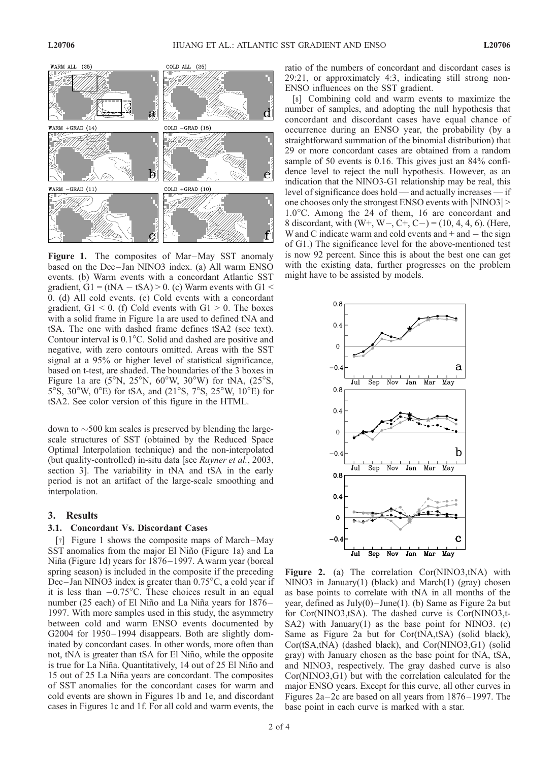

Figure 1. The composites of Mar-May SST anomaly based on the Dec-Jan NINO3 index. (a) All warm ENSO events. (b) Warm events with a concordant Atlantic SST gradient,  $GI = (tNA - tSA) > 0$ . (c) Warm events with  $GI <$ 0. (d) All cold events. (e) Cold events with a concordant gradient,  $GI < 0$ . (f) Cold events with  $GI > 0$ . The boxes with a solid frame in Figure 1a are used to defined tNA and tSA. The one with dashed frame defines tSA2 (see text). Contour interval is  $0.1^{\circ}$ C. Solid and dashed are positive and negative, with zero contours omitted. Areas with the SST signal at a 95% or higher level of statistical significance, based on t-test, are shaded. The boundaries of the 3 boxes in Figure 1a are ( $5^\circ$ N,  $25^\circ$ N,  $60^\circ$ W,  $30^\circ$ W) for tNA, ( $25^\circ$ S, 5°S, 30°W, 0°E) for tSA, and (21°S, 7°S, 25°W, 10°E) for tSA2. See color version of this figure in the HTML.

down to  $\sim$  500 km scales is preserved by blending the largescale structures of SST (obtained by the Reduced Space Optimal Interpolation technique) and the non-interpolated (but quality-controlled) in-situ data [see Rayner et al., 2003, section 3]. The variability in tNA and tSA in the early period is not an artifact of the large-scale smoothing and interpolation.

#### 3. Results

#### 3.1. Concordant Vs. Discordant Cases

[7] Figure 1 shows the composite maps of March-May SST anomalies from the major El Niño (Figure 1a) and La Niña (Figure 1d) years for 1876–1997. A warm year (boreal spring season) is included in the composite if the preceding Dec-Jan NINO3 index is greater than  $0.75^{\circ}$ C, a cold year if it is less than  $-0.75^{\circ}$ C. These choices result in an equal number (25 each) of El Niño and La Niña years for 1876-1997. With more samples used in this study, the asymmetry between cold and warm ENSO events documented by G2004 for 1950– 1994 disappears. Both are slightly dominated by concordant cases. In other words, more often than not, tNA is greater than tSA for El Niño, while the opposite is true for La Niña. Quantitatively, 14 out of 25 El Niño and 15 out of 25 La Niña years are concordant. The composites of SST anomalies for the concordant cases for warm and cold events are shown in Figures 1b and 1e, and discordant cases in Figures 1c and 1f. For all cold and warm events, the

ratio of the numbers of concordant and discordant cases is 29:21, or approximately 4:3, indicating still strong non-ENSO influences on the SST gradient.

[8] Combining cold and warm events to maximize the number of samples, and adopting the null hypothesis that concordant and discordant cases have equal chance of occurrence during an ENSO year, the probability (by a straightforward summation of the binomial distribution) that 29 or more concordant cases are obtained from a random sample of 50 events is 0.16. This gives just an 84% confidence level to reject the null hypothesis. However, as an indication that the NINO3-G1 relationship may be real, this level of significance does hold — and actually increases — if one chooses only the strongest ENSO events with  $|NINO3|$  >  $1.0^{\circ}$ C. Among the 24 of them, 16 are concordant and 8 discordant, with  $(W^+, W^-, C^+, C^-) = (10, 4, 4, 6)$ . (Here, W and C indicate warm and cold events and  $+$  and  $-$  the sign of G1.) The significance level for the above-mentioned test is now 92 percent. Since this is about the best one can get with the existing data, further progresses on the problem might have to be assisted by models.



Figure 2. (a) The correlation Cor(NINO3,tNA) with NINO3 in January(1) (black) and March(1) (gray) chosen as base points to correlate with tNA in all months of the year, defined as  $July(0) – June(1)$ . (b) Same as Figure 2a but for Cor(NINO3,tSA). The dashed curve is Cor(NINO3,t-SA2) with January(1) as the base point for NINO3. (c) Same as Figure 2a but for Cor(tNA,tSA) (solid black), Cor(tSA,tNA) (dashed black), and Cor(NINO3,G1) (solid gray) with January chosen as the base point for tNA, tSA, and NINO3, respectively. The gray dashed curve is also Cor(NINO3,G1) but with the correlation calculated for the major ENSO years. Except for this curve, all other curves in Figures  $2a-2c$  are based on all years from  $1876-1997$ . The base point in each curve is marked with a star.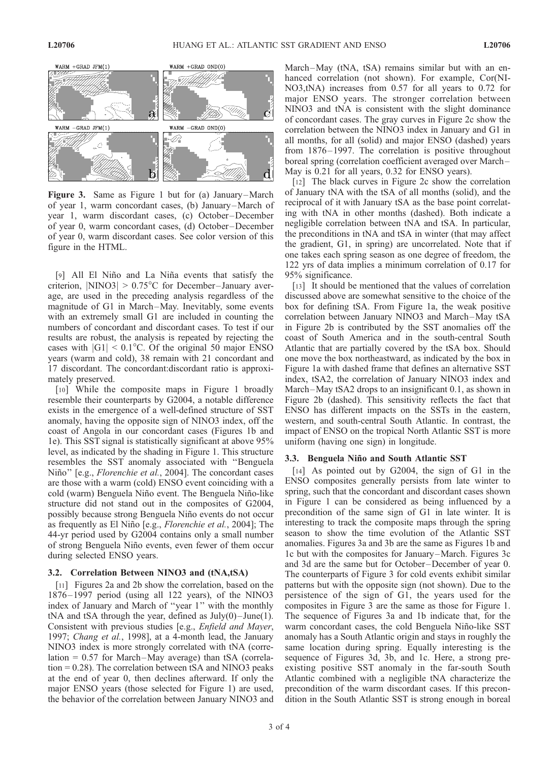

Figure 3. Same as Figure 1 but for (a) January–March of year 1, warm concordant cases, (b) January –March of year 1, warm discordant cases, (c) October –December of year 0, warm concordant cases, (d) October –December of year 0, warm discordant cases. See color version of this figure in the HTML.

[9] All El Niño and La Niña events that satisfy the criterion,  $|NINO3| > 0.75^{\circ}C$  for December-January average, are used in the preceding analysis regardless of the magnitude of G1 in March-May. Inevitably, some events with an extremely small G1 are included in counting the numbers of concordant and discordant cases. To test if our results are robust, the analysis is repeated by rejecting the cases with  $|G1| < 0.1$ °C. Of the original 50 major ENSO years (warm and cold), 38 remain with 21 concordant and 17 discordant. The concordant:discordant ratio is approximately preserved.

[10] While the composite maps in Figure 1 broadly resemble their counterparts by G2004, a notable difference exists in the emergence of a well-defined structure of SST anomaly, having the opposite sign of NINO3 index, off the coast of Angola in our concordant cases (Figures 1b and 1e). This SST signal is statistically significant at above 95% level, as indicated by the shading in Figure 1. This structure resembles the SST anomaly associated with ''Benguela Niño" [e.g., Florenchie et al., 2004]. The concordant cases are those with a warm (cold) ENSO event coinciding with a cold (warm) Benguela Niño event. The Benguela Niño-like structure did not stand out in the composites of G2004, possibly because strong Benguela Niño events do not occur as frequently as El Niño [e.g., *Florenchie et al.*, 2004]; The 44-yr period used by G2004 contains only a small number of strong Benguela Niño events, even fewer of them occur during selected ENSO years.

#### 3.2. Correlation Between NINO3 and (tNA,tSA)

[11] Figures 2a and 2b show the correlation, based on the 1876 – 1997 period (using all 122 years), of the NINO3 index of January and March of ''year 1'' with the monthly tNA and tSA through the year, defined as  $July(0) – June(1)$ . Consistent with previous studies [e.g., Enfield and Mayer, 1997; Chang et al., 1998], at a 4-month lead, the January NINO3 index is more strongly correlated with tNA (correlation  $= 0.57$  for March-May average) than tSA (correla- $\tau$  tion = 0.28). The correlation between tSA and NINO3 peaks at the end of year 0, then declines afterward. If only the major ENSO years (those selected for Figure 1) are used, the behavior of the correlation between January NINO3 and

March-May (tNA, tSA) remains similar but with an enhanced correlation (not shown). For example, Cor(NI-NO3,tNA) increases from 0.57 for all years to 0.72 for major ENSO years. The stronger correlation between NINO3 and tNA is consistent with the slight dominance of concordant cases. The gray curves in Figure 2c show the correlation between the NINO3 index in January and G1 in all months, for all (solid) and major ENSO (dashed) years from 1876-1997. The correlation is positive throughout boreal spring (correlation coefficient averaged over March – May is 0.21 for all years, 0.32 for ENSO years).

[12] The black curves in Figure 2c show the correlation of January tNA with the tSA of all months (solid), and the reciprocal of it with January tSA as the base point correlating with tNA in other months (dashed). Both indicate a negligible correlation between tNA and tSA. In particular, the preconditions in tNA and tSA in winter (that may affect the gradient, G1, in spring) are uncorrelated. Note that if one takes each spring season as one degree of freedom, the 122 yrs of data implies a minimum correlation of 0.17 for 95% significance.

[13] It should be mentioned that the values of correlation discussed above are somewhat sensitive to the choice of the box for defining tSA. From Figure 1a, the weak positive correlation between January NINO3 and March –May tSA in Figure 2b is contributed by the SST anomalies off the coast of South America and in the south-central South Atlantic that are partially covered by the tSA box. Should one move the box northeastward, as indicated by the box in Figure 1a with dashed frame that defines an alternative SST index, tSA2, the correlation of January NINO3 index and March-May tSA2 drops to an insignificant 0.1, as shown in Figure 2b (dashed). This sensitivity reflects the fact that ENSO has different impacts on the SSTs in the eastern, western, and south-central South Atlantic. In contrast, the impact of ENSO on the tropical North Atlantic SST is more uniform (having one sign) in longitude.

### 3.3. Benguela Niño and South Atlantic SST

[14] As pointed out by G2004, the sign of G1 in the ENSO composites generally persists from late winter to spring, such that the concordant and discordant cases shown in Figure 1 can be considered as being influenced by a precondition of the same sign of G1 in late winter. It is interesting to track the composite maps through the spring season to show the time evolution of the Atlantic SST anomalies. Figures 3a and 3b are the same as Figures 1b and 1c but with the composites for January –March. Figures 3c and 3d are the same but for October –December of year 0. The counterparts of Figure 3 for cold events exhibit similar patterns but with the opposite sign (not shown). Due to the persistence of the sign of G1, the years used for the composites in Figure 3 are the same as those for Figure 1. The sequence of Figures 3a and 1b indicate that, for the warm concordant cases, the cold Benguela Niño-like SST anomaly has a South Atlantic origin and stays in roughly the same location during spring. Equally interesting is the sequence of Figures 3d, 3b, and 1c. Here, a strong preexisting positive SST anomaly in the far-south South Atlantic combined with a negligible tNA characterize the precondition of the warm discordant cases. If this precondition in the South Atlantic SST is strong enough in boreal